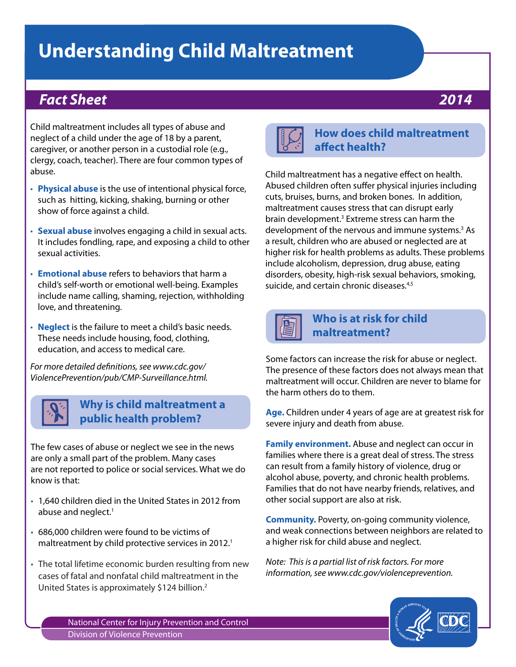# **Understanding Child Maltreatment**

## *Fact Sheet 2014*

Child maltreatment includes all types of abuse and neglect of a child under the age of 18 by a parent, caregiver, or another person in a custodial role (e.g., clergy, coach, teacher). There are four common types of abuse.

- **Physical abuse** is the use of intentional physical force, such as hitting, kicking, shaking, burning or other show of force against a child.
- • **Sexual abuse** involves engaging a child in sexual acts. It includes fondling, rape, and exposing a child to other sexual activities.
- • **Emotional abuse** refers to behaviors that harm a child's self-worth or emotional well-being. Examples include name calling, shaming, rejection, withholding love, and threatening.
- **Neglect** is the failure to meet a child's basic needs. These needs include housing, food, clothing, education, and access to medical care.

*For more detailed definitions, see www.cdc.gov/ ViolencePrevention/pub/CMP-Surveillance.html.*



#### **Why is child maltreatment a public health problem?**

The few cases of abuse or neglect we see in the news are only a small part of the problem. Many cases are not reported to police or social services. What we do know is that:

- 1,640 children died in the United States in 2012 from abuse and neglect.<sup>1</sup>
- 686,000 children were found to be victims of maltreatment by child protective services in 2012.<sup>1</sup>
- The total lifetime economic burden resulting from new cases of fatal and nonfatal child maltreatment in the United States is approximately \$124 billion.<sup>2</sup>



### **How does child maltreatment affect health?**

Child maltreatment has a negative effect on health. Abused children often suffer physical injuries including cuts, bruises, burns, and broken bones. In addition, maltreatment causes stress that can disrupt early brain development.<sup>3</sup> Extreme stress can harm the development of the nervous and immune systems.3 As a result, children who are abused or neglected are at higher risk for health problems as adults. These problems include alcoholism, depression, drug abuse, eating disorders, obesity, high-risk sexual behaviors, smoking, suicide, and certain chronic diseases.<sup>4,5</sup>



### **Who is at risk for child maltreatment?**

Some factors can increase the risk for abuse or neglect. The presence of these factors does not always mean that maltreatment will occur. Children are never to blame for the harm others do to them.

**Age.** Children under 4 years of age are at greatest risk for severe injury and death from abuse.

**Family environment.** Abuse and neglect can occur in families where there is a great deal of stress. The stress can result from a family history of violence, drug or alcohol abuse, poverty, and chronic health problems. Families that do not have nearby friends, relatives, and other social support are also at risk.

**Community.** Poverty, on-going community violence, and weak connections between neighbors are related to a higher risk for child abuse and neglect.

*Note: This is a partial list of risk factors. For more information, see www.cdc.gov/violenceprevention.*



National Center for Injury Prevention and Control Division of Violence Prevention